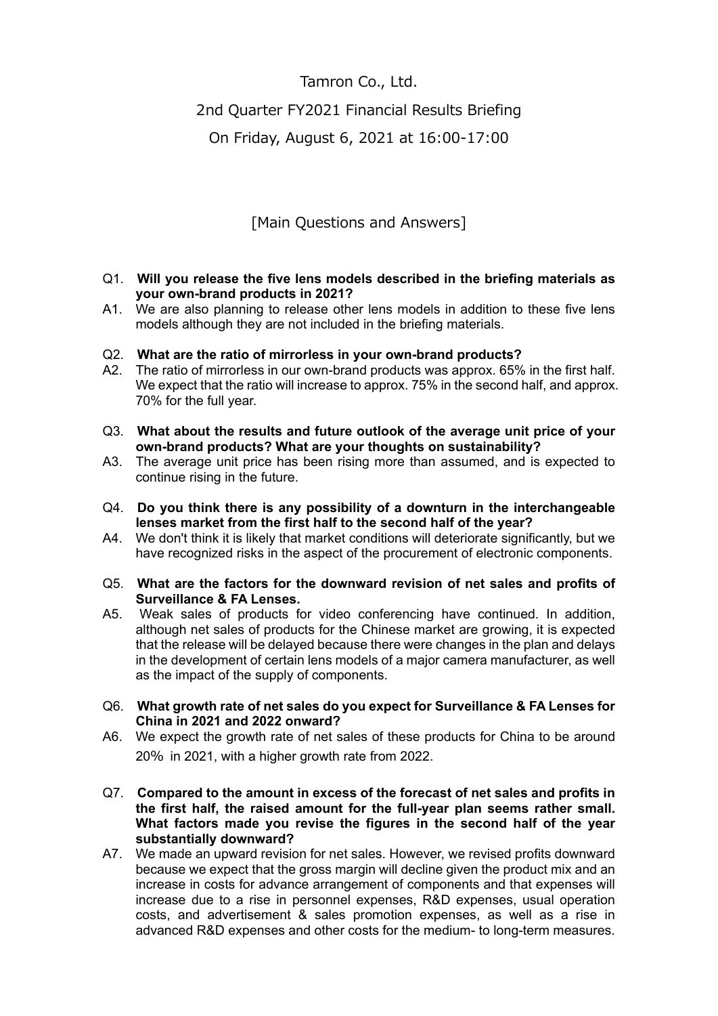## Tamron Co., Ltd.

## 2nd Quarter FY2021 Financial Results Briefing

On Friday, August 6, 2021 at 16:00-17:00

[Main Questions and Answers]

## Q1. **Will you release the five lens models described in the briefing materials as your own-brand products in 2021?**

A1. We are also planning to release other lens models in addition to these five lens models although they are not included in the briefing materials.

## Q2. **What are the ratio of mirrorless in your own-brand products?**

- A2. The ratio of mirrorless in our own-brand products was approx. 65% in the first half. We expect that the ratio will increase to approx. 75% in the second half, and approx. 70% for the full year.
- Q3. **What about the results and future outlook of the average unit price of your own-brand products? What are your thoughts on sustainability?**
- A3. The average unit price has been rising more than assumed, and is expected to continue rising in the future.
- Q4. **Do you think there is any possibility of a downturn in the interchangeable lenses market from the first half to the second half of the year?**
- A4. We don't think it is likely that market conditions will deteriorate significantly, but we have recognized risks in the aspect of the procurement of electronic components.
- Q5. **What are the factors for the downward revision of net sales and profits of Surveillance & FA Lenses.**
- A5. Weak sales of products for video conferencing have continued. In addition, although net sales of products for the Chinese market are growing, it is expected that the release will be delayed because there were changes in the plan and delays in the development of certain lens models of a major camera manufacturer, as well as the impact of the supply of components.
- Q6. **What growth rate of net sales do you expect for Surveillance & FA Lenses for China in 2021 and 2022 onward?**
- A6. We expect the growth rate of net sales of these products for China to be around 20% in 2021, with a higher growth rate from 2022.
- Q7. **Compared to the amount in excess of the forecast of net sales and profits in the first half, the raised amount for the full-year plan seems rather small. What factors made you revise the figures in the second half of the year substantially downward?**
- A7. We made an upward revision for net sales. However, we revised profits downward because we expect that the gross margin will decline given the product mix and an increase in costs for advance arrangement of components and that expenses will increase due to a rise in personnel expenses, R&D expenses, usual operation costs, and advertisement & sales promotion expenses, as well as a rise in advanced R&D expenses and other costs for the medium- to long-term measures.